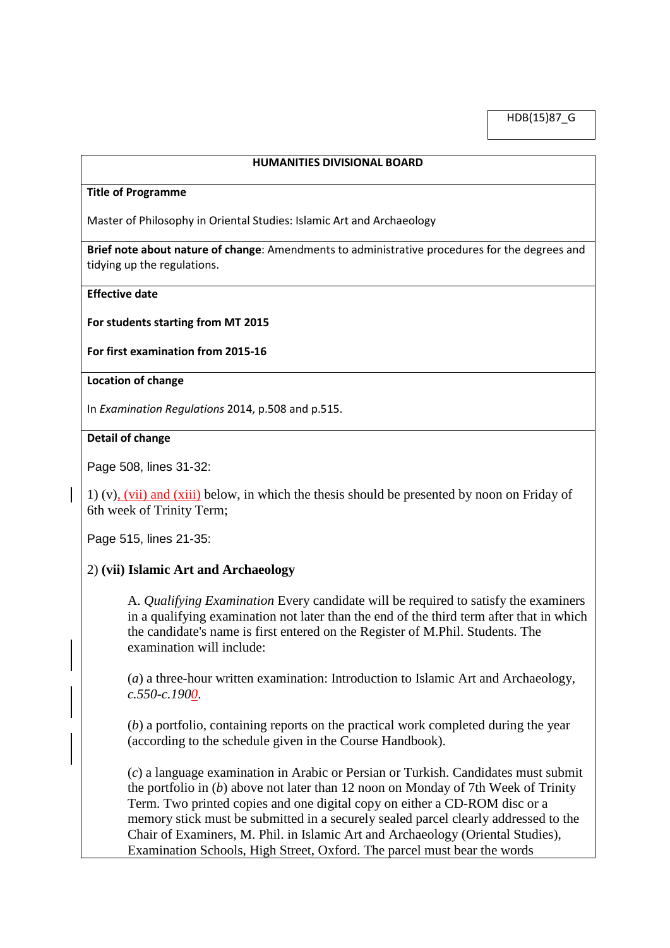HDB(15)87\_G

#### **HUMANITIES DIVISIONAL BOARD**

#### **Title of Programme**

Master of Philosophy in Oriental Studies: Islamic Art and Archaeology

**Brief note about nature of change**: Amendments to administrative procedures for the degrees and tidying up the regulations.

### **Effective date**

**For students starting from MT 2015**

**For first examination from 2015-16**

### **Location of change**

In *Examination Regulations* 2014, p.508 and p.515.

# **Detail of change**

Page 508, lines 31-32:

1) (v), (vii) and (xiii) below, in which the thesis should be presented by noon on Friday of 6th week of Trinity Term;

Page 515, lines 21-35:

# 2) **(vii) Islamic Art and Archaeology**

A. *Qualifying Examination* Every candidate will be required to satisfy the examiners in a qualifying examination not later than the end of the third term after that in which the candidate's name is first entered on the Register of M.Phil. Students. The examination will include:

(*a*) a three-hour written examination: Introduction to Islamic Art and Archaeology, *c.550-c.1900*.

(*b*) a portfolio, containing reports on the practical work completed during the year (according to the schedule given in the Course Handbook).

(*c*) a language examination in Arabic or Persian or Turkish. Candidates must submit the portfolio in (*b*) above not later than 12 noon on Monday of 7th Week of Trinity Term. Two printed copies and one digital copy on either a CD-ROM disc or a memory stick must be submitted in a securely sealed parcel clearly addressed to the Chair of Examiners, M. Phil. in Islamic Art and Archaeology (Oriental Studies), Examination Schools, High Street, Oxford. The parcel must bear the words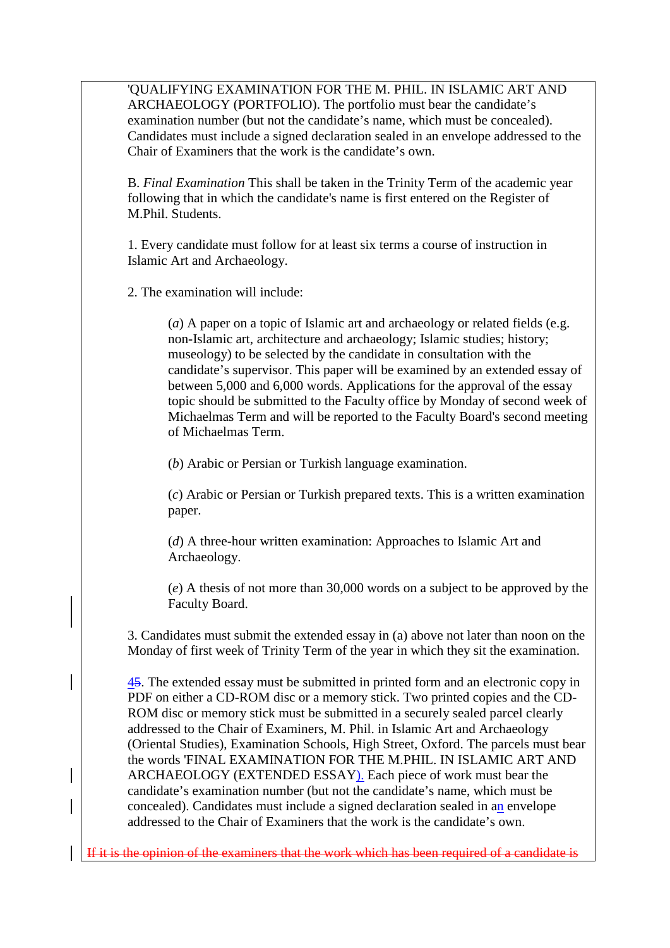'QUALIFYING EXAMINATION FOR THE M. PHIL. IN ISLAMIC ART AND ARCHAEOLOGY (PORTFOLIO). The portfolio must bear the candidate's examination number (but not the candidate's name, which must be concealed). Candidates must include a signed declaration sealed in an envelope addressed to the Chair of Examiners that the work is the candidate's own.

B. *Final Examination* This shall be taken in the Trinity Term of the academic year following that in which the candidate's name is first entered on the Register of M.Phil. Students.

1. Every candidate must follow for at least six terms a course of instruction in Islamic Art and Archaeology.

2. The examination will include:

(*a*) A paper on a topic of Islamic art and archaeology or related fields (e.g. non-Islamic art, architecture and archaeology; Islamic studies; history; museology) to be selected by the candidate in consultation with the candidate's supervisor. This paper will be examined by an extended essay of between 5,000 and 6,000 words. Applications for the approval of the essay topic should be submitted to the Faculty office by Monday of second week of Michaelmas Term and will be reported to the Faculty Board's second meeting of Michaelmas Term.

(*b*) Arabic or Persian or Turkish language examination.

(*c*) Arabic or Persian or Turkish prepared texts. This is a written examination paper.

(*d*) A three-hour written examination: Approaches to Islamic Art and Archaeology.

(*e*) A thesis of not more than 30,000 words on a subject to be approved by the Faculty Board.

3. Candidates must submit the extended essay in (a) above not later than noon on the Monday of first week of Trinity Term of the year in which they sit the examination.

45. The extended essay must be submitted in printed form and an electronic copy in PDF on either a CD-ROM disc or a memory stick. Two printed copies and the CD-ROM disc or memory stick must be submitted in a securely sealed parcel clearly addressed to the Chair of Examiners, M. Phil. in Islamic Art and Archaeology (Oriental Studies), Examination Schools, High Street, Oxford. The parcels must bear the words 'FINAL EXAMINATION FOR THE M.PHIL. IN ISLAMIC ART AND ARCHAEOLOGY (EXTENDED ESSAY). Each piece of work must bear the candidate's examination number (but not the candidate's name, which must be concealed). Candidates must include a signed declaration sealed in an envelope addressed to the Chair of Examiners that the work is the candidate's own.

If it is the opinion of the examiners that the work which has been required of a candidate is